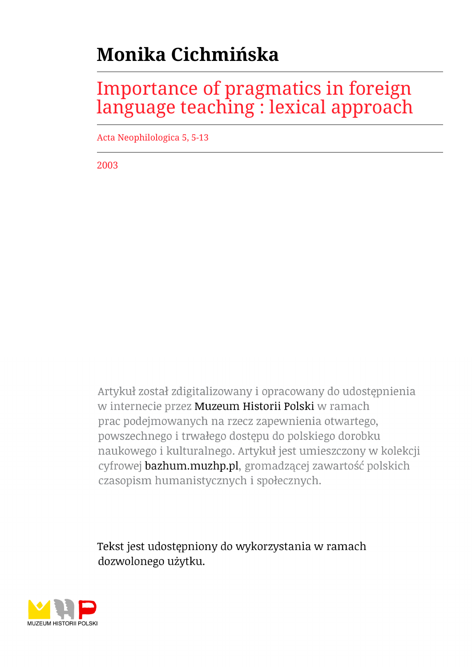# **Monika Cichmińska**

## Importance of pragmatics in foreign language teaching : lexical approach

Acta Neophilologica 5, 5-13

2003

Artykuł został zdigitalizowany i opracowany do udostępnienia w internecie przez Muzeum Historii Polski w ramach prac podejmowanych na rzecz zapewnienia otwartego, powszechnego i trwałego dostępu do polskiego dorobku naukowego i kulturalnego. Artykuł jest umieszczony w kolekcji cyfrowej bazhum.muzhp.pl, gromadzącej zawartość polskich czasopism humanistycznych i społecznych.

Tekst jest udostępniony do wykorzystania w ramach dozwolonego użytku.

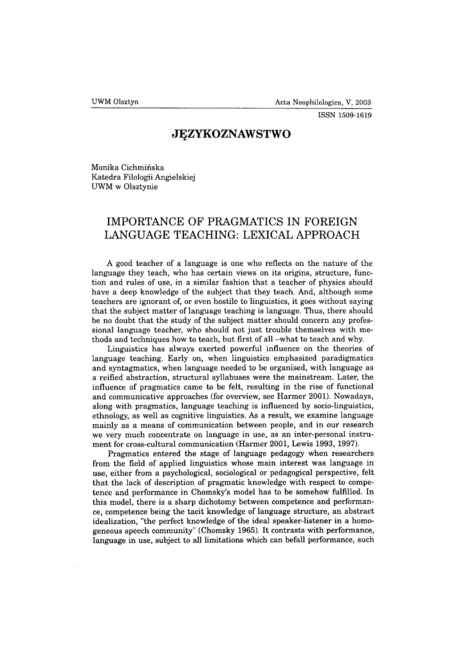**ISSN 1509-1619**

### **JĘZYKOZNAWSTWO**

Monika Cichmińska Katedra Filologii Angielskiej UWM w Olsztynie

## **IMPORTANCE OF PRAGMATICS IN FOREIGN LANGUAGE TEACHING: LEXICAL APPROACH**

A good teacher of a language is one who reflects on the nature of the language they teach, who has certain views on its origins, structure, function and rules of use, in a similar fashion that a teacher of physics should have a deep knowledge of the subject that they teach. And, although some teachers are ignorant of, or even hostile to linguistics, it goes without saying that the subject matter of language teaching is language. Thus, there should be no doubt that the study of the subject matter should concern any professional language teacher, who should not just trouble themselves with methods and techniques how to teach, but first of all -what to teach and why.

Linguistics has always exerted powerful influence on the theories of language teaching. Early on, when linguistics emphasized paradigmatics and syntagmatics, when language needed to be organised, with language as a reified abstraction, structural syllabuses were the mainstream. Later, the influence of pragmatics came to be felt, resulting in the rise of functional and communicative approaches (for overview, see Harmer 2001). Nowadays, along with pragmatics, language teaching is influenced by socio-linguistics, ethnology, as well as cognitive linguistics. As a result, we examine language mainly as a means of communication between people, and in our research we very much concentrate on language in use, as an inter-personal instrument for cross-cultural communication (Harmer 2001, Lewis 1993, 1997).

Pragmatics entered the stage of language pedagogy when researchers from the field of applied linguistics whose main interest was language in use, either from a psychological, sociological or pedagogical perspective, felt that the lack of description of pragmatic knowledge with respect to competence and performance in Chomsky's model has to be somehow fulfilled. In this model, there is a sharp dichotomy between competence and performance, competence being the tacit knowledge of language structure, an abstract idealization, "the perfect knowledge of the ideal speaker-listener in a homogeneous speech community" (Chomsky 1965). It contrasts with performance, language in use, subject to all limitations which can befall performance, such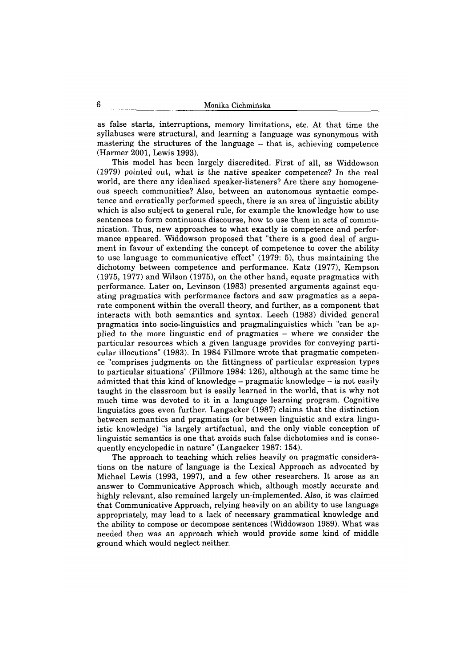as false starts, interruptions, memory limitations, etc. At that time the syllabuses were structural, and learning a language was synonymous with mastering the structures of the language - that is, achieving competence (Harmer 2001, Lewis 1993).

This model has been largely discredited. First of all, as Widdowson (1979) pointed out, what is the native speaker competence? In the real world, are there any idealised speaker-listeners? Are there any homogeneous speech communities? Also, between an autonomous syntactic competence and erratically performed speech, there is an area of linguistic ability which is also subject to general rule, for example the knowledge how to use sentences to form continuous discourse, how to use them in acts of communication. Thus, new approaches to what exactly is competence and performance appeared. Widdowson proposed that "there is a good deal of argument in favour of extending the concept of competence to cover the ability to use language to communicative effect" (1979: 5), thus maintaining the dichotomy between competence and performance. Katz (1977), Kempson (1975, 1977) and Wilson (1975), on the other hand, equate pragmatics with performance. Later on, Levinson (1983) presented arguments against equating pragmatics with performance factors and saw pragmatics as a separate component within the overall theory, and further, as a component that interacts with both semantics and syntax. Leech (1983) divided general pragmatics into socio-linguistics and pragmalinguistics which "can be applied to the more linguistic end of pragmatics - where we consider the particular resources which a given language provides for conveying particular illocutions" (1983). In 1984 Fillmore wrote that pragmatic competence "comprises judgments on the fittingness of particular expression types to particular situations" (Fillmore 1984: 126), although at the same time he admitted that this kind of knowledge - pragmatic knowledge - is not easily taught in the classroom but is easily learned in the world, that is why not much time was devoted to it in a language learning program. Cognitive linguistics goes even further. Langacker (1987) claims that the distinction between semantics and pragmatics (or between linguistic and extra linguistic knowledge) "is largely artifactual, and the only viable conception of linguistic semantics is one that avoids such false dichotomies and is consequently encyclopedic in nature" (Langacker 1987: 154).

The approach to teaching which relies heavily on pragmatic considerations on the nature of language is the Lexical Approach as advocated by Michael Lewis (1993, 1997), and a few other researchers. It arose as an answer to Communicative Approach which, although mostly accurate and highly relevant, also remained largely un-implemented. Also, it was claimed that Communicative Approach, relying heavily on an ability to use language appropriately, may lead to a lack of necessary grammatical knowledge and the ability to compose or decompose sentences (Widdowson 1989). What was needed then was an approach which would provide some kind of middle ground which would neglect neither.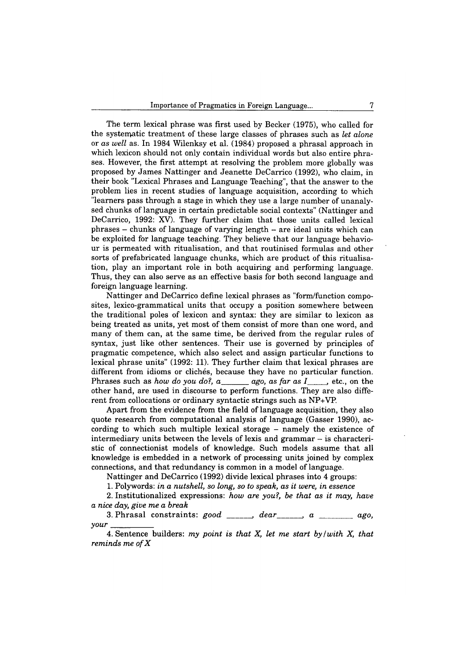The term lexical phrase was first used by Becker (1975), who called for the systematic treatment of these large classes of phrases such as *let alone* or *as well* as. In 1984 Wilenksy et al. (1984) proposed a phrasal approach in which lexicon should not only contain individual words but also entire phrases. However, the first attempt at resolving the problem more globally was proposed by James Nattinger and Jeanette DeCarrico (1992), who claim, in their book "Lexical Phrases and Language Teaching", that the answer to the problem lies in recent studies of language acquisition, according to which "learners pass through a stage in which they use a large number of unanalysed chunks of language in certain predictable social contexts" (Nattinger and DeCarrico, 1992: XV). They further claim that those units called lexical phrases - chunks of language of varying length - are ideal units which can be exploited for language teaching. They believe that our language behaviour is permeated with ritualisation, and that routinised formulas and other sorts of prefabricated language chunks, which are product of this ritualisation, play an important role in both acquiring and performing language. Thus, they can also serve as an effective basis for both second language and foreign language learning.

Nattinger and DeCarrico define lexical phrases as "form/function composites, lexico-grammatical units that occupy a position somewhere between the traditional poles of lexicon and syntax: they are similar to lexicon as being treated as units, yet most of them consist of more than one word, and many of them can, at the same time, be derived from the regular rules of syntax, just like other sentences. Their use is governed by principles of pragmatic competence, which also select and assign particular functions to lexical phrase units" (1992: 11). They further claim that lexical phrases are different from idioms or clichés, because they have no particular function. Phrases such as *how do you do?, a*\_\_\_\_\_\_ *ago, as far as I*\_\_\_\_\_, etc., on the other hand, are used in discourse to perform functions. They are also different from collocations or ordinary syntactic strings such as NP+VP.

Apart from the evidence from the field of language acquisition, they also quote research from computational analysis of language (Gasser 1990), according to which such multiple lexical storage - namely the existence of intermediary units between the levels of lexis and grammar — is characteristic of connectionist models of knowledge. Such models assume that all knowledge is embedded in a network of processing units joined by complex connections, and that redundancy is common in a model of language.

Nattinger and DeCarrico (1992) divide lexical phrases into 4 groups:

1. Polywords: *in a nutshell, so long, so to speak, as it were, in essence*

2. Institutionalized expressions: *how are you?, be that as it may, have a nice day, give me a break*

3. Phrasal constraints: *good* \_\_\_\_\_, *dear* \_\_\_\_, *a* \_\_\_\_\_, *ago*, *your*\_\_\_\_\_\_\_\_\_

4. Sentence builders: *my point is that X, let me start by /with X, that reminds me ofX*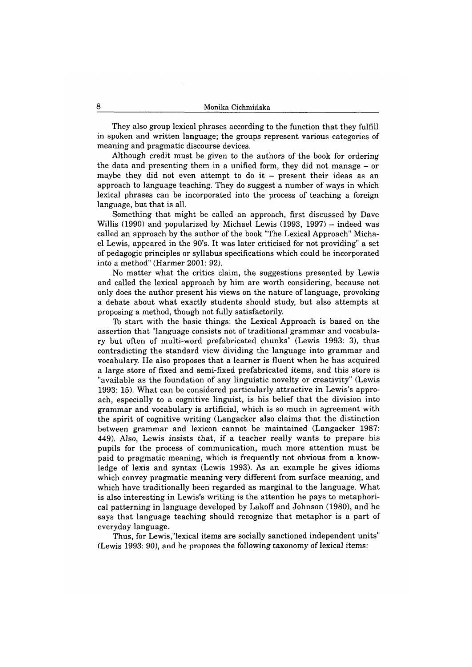They also group lexical phrases according to the function that they fulfill in spoken and written language; the groups represent various categories of meaning and pragmatic discourse devices.

Although credit must be given to the authors of the book for ordering the data and presenting them in a unified form, they did not manage - or maybe they did not even attempt to do it  $-$  present their ideas as an approach to language teaching. They do suggest a number of ways in which lexical phrases can be incorporated into the process of teaching a foreign language, but that is all.

Something that might be called an approach, first discussed by Dave Willis (1990) and popularized by Michael Lewis (1993, 1997)  $-$  indeed was called an approach by the author of the book "The Lexical Approach" Michael Lewis, appeared in the 90's. It was later criticised for not providing" a set of pedagogic principles or syllabus specifications which could be incorporated into a method" (Harmer 2001: 92).

No matter what the critics claim, the suggestions presented by Lewis and called the lexical approach by him are worth considering, because not only does the author present his views on the nature of language, provoking a debate about what exactly students should study, but also attempts at proposing a method, though not fully satisfactorily.

To start with the basic things: the Lexical Approach is based on the assertion that "language consists not of traditional grammar and vocabulary but often of multi-word prefabricated chunks" (Lewis 1993: 3), thus contradicting the standard view dividing the language into grammar and vocabulary. He also proposes that a learner is fluent when he has acquired a large store of fixed and semi-fixed prefabricated items, and this store is "available as the foundation of any linguistic novelty or creativity" (Lewis 1993: 15). What can be considered particularly attractive in Lewis's approach, especially to a cognitive linguist, is his belief that the division into grammar and vocabulary is artificial, which is so much in agreement with the spirit of cognitive writing (Langacker also claims that the distinction between grammar and lexicon cannot be maintained (Langacker 1987: 449). Also, Lewis insists that, if a teacher really wants to prepare his pupils for the process of communication, much more attention must be paid to pragmatic meaning, which is frequently not obvious from a knowledge of lexis and syntax (Lewis 1993). As an example he gives idioms which convey pragmatic meaning very different from surface meaning, and which have traditionally been regarded as marginal to the language. What is also interesting in Lewis's writing is the attention he pays to metaphorical patterning in language developed by Lakoff and Johnson (1980), and he says that language teaching should recognize that metaphor is a part of everyday language.

Thus, for Lewis,"lexical items are socially sanctioned independent units" (Lewis 1993: 90), and he proposes the following taxonomy of lexical items: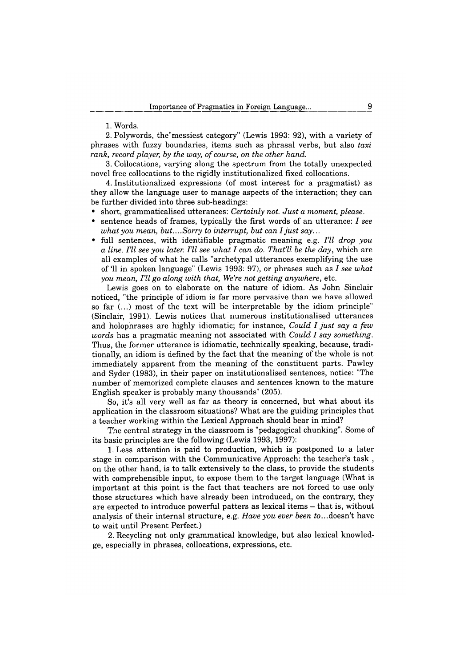1. Words.

2. Polywords, the'messiest category" (Lewis 1993: 92), with a variety of phrases with fuzzy boundaries, items such as phrasal verbs, but also *taxi rank, record player, by the way, of course, on the other hand.*

3. Collocations, varying along the spectrum from the totally unexpected novel free collocations to the rigidly institutionalized fixed collocations.

4. Institutionalized expressions (of most interest for a pragmatist) as they allow the language user to manage aspects of the interaction; they can be further divided into three sub-headings:

- short, grammaticalised utterances: *Certainly not. Just a moment, please.*
- sentence heads of frames, typically the first words of an utterance: *I see what you mean, but....Sorry to interrupt, but can I just say...*
- full sentences, with identifiable pragmatic meaning e.g. *I'll drop you a line. I'll see you later. I'll see what I can do. That'll be the day,* which are all examples of what he calls "archetypal utterances exemplifying the use of '11 in spoken language" (Lewis 1993: 97), or phrases such as *I see what you mean, I'll go along with that, We're not getting anywhere,* etc.

Lewis goes on to elaborate on the nature of idiom. As John Sinclair noticed, "the principle of idiom is far more pervasive than we have allowed so far (...) most of the text will be interpretable by the idiom principle" (Sinclair, 1991). Lewis notices that numerous institutionalised utterances and holophrases are highly idiomatic; for instance, *Could I just say a few words* has a pragmatic meaning not associated with *Could I say something.* Thus, the former utterance is idiomatic, technically speaking, because, traditionally, an idiom is defined by the fact that the meaning of the whole is not immediately apparent from the meaning of the constituent parts. Pawley and Syder (1983), in their paper on institutionalised sentences, notice: "The number of memorized complete clauses and sentences known to the mature English speaker is probably many thousands" (205).

So, it's all very well as far as theory is concerned, but what about its application in the classroom situations? What are the guiding principles that a teacher working within the Lexical Approach should bear in mind?

The central strategy in the classroom is "pedagogical chunking". Some of its basic principles are the following (Lewis 1993, 1997):

1. Less attention is paid to production, which is postponed to a later stage in comparison with the Communicative Approach: the teacher's task , on the other hand, is to talk extensively to the class, to provide the students with comprehensible input, to expose them to the target language (What is important at this point is the fact that teachers are not forced to use only those structures which have already been introduced, on the contrary, they are expected to introduce powerful patters as lexical items - that is, without analysis of their internal structure, e.g. *Have you ever been* to...doesn't have to wait until Present Perfect.)

2. Recycling not only grammatical knowledge, but also lexical knowledge, especially in phrases, collocations, expressions, etc.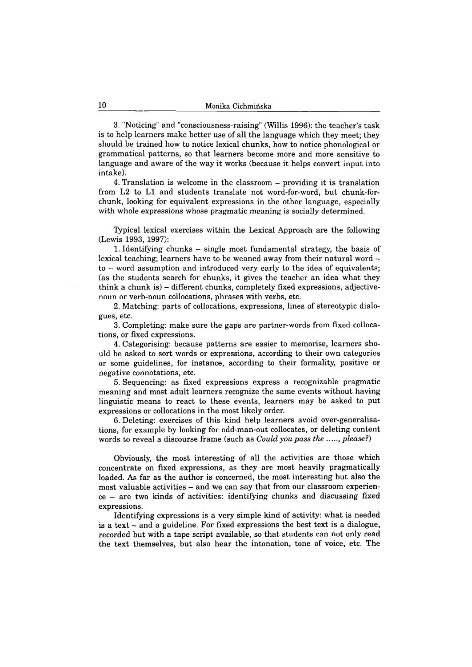3. "Noticing" and "consciousness-raising" (Willis 1996): the teacher's task is to help learners make better use of all the language which they meet; they should be trained how to notice lexical chunks, how to notice phonological or grammatical patterns, so that learners become more and more sensitive to language and aware of the way it works (because it helps convert input into intake).

4. Translation is welcome in the classroom - providing it is translation from L2 to LI and students translate not word-for-word, but chunk-forchunk, looking for equivalent expressions in the other language, especially with whole expressions whose pragmatic meaning is socially determined.

Typical lexical exercises within the Lexical Approach are the following (Lewis 1993, 1997):

1. Identifying chunks - single most fundamental strategy, the basis of lexical teaching; learners have to be weaned away from their natural word to — word assumption and introduced very early to the idea of equivalents; (as the students search for chunks, it gives the teacher an idea what they think a chunk is)  $-$  different chunks, completely fixed expressions, adjectivenoun or verb-noun collocations, phrases with verbs, etc.

2. Matching: parts of collocations, expressions, lines of stereotypic dialogues, etc.

3. Completing: make sure the gaps are partner-words from fixed collocations, or fixed expressions.

4. Categorising: because patterns are easier to memorise, learners should be asked to sort words or expressions, according to their own categories or some guidelines, for instance, according to their formality, positive or negative connotations, etc.

5. Sequencing: as fixed expressions express a recognizable pragmatic meaning and most adult learners recognize the same events without having linguistic means to react to these events, learners may be asked to put expressions or collocations in the most likely order.

6. Deleting: exercises of this kind help learners avoid over-generalisations, for example by looking for odd-man-out collocates, or deleting content words to reveal a discourse frame (such as *Could you pass the ...., please?*)

Obviously, the most interesting of all the activities are those which concentrate on fixed expressions, as they are most heavily pragmatically loaded. As far as the author is concerned, the most interesting but also the most valuable activities - and we can say that from our classroom experien $ce - are two kinds of activities: identifying chunks and discussing fixed$ expressions.

Identifying expressions is a very simple kind of activity: what is needed is a text - and a guideline. For fixed expressions the best text is a dialogue, recorded but with a tape script available, so that students can not only read the text themselves, but also hear the intonation, tone of voice, etc. The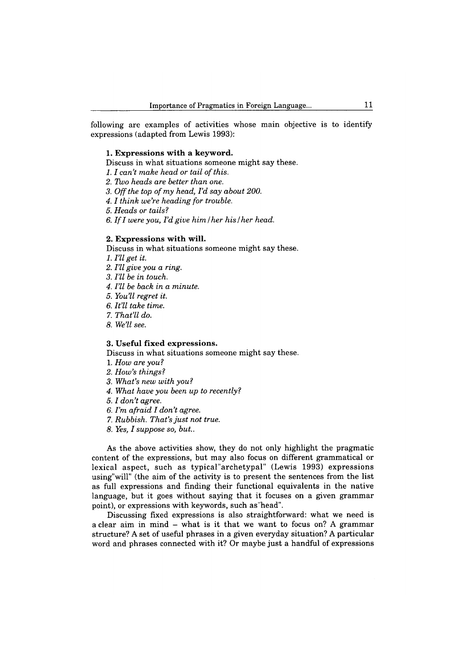following are examples of activities whose main objective is to identify expressions (adapted from Lewis 1993):

#### **1. Expressions with a keyword.**

Discuss in what situations someone might say these.

- *1.1 can't make head or tail of this.*
- *2. Two heads are better than one.*
- *3. Off the top of my head, I'd say about 200.*
- *4 .1 think we're heading for trouble.*

*5. Heads or tails?*

*6. If I were you, I'd give him* / *her his / her head.*

#### **2. Expressions with will.**

Discuss in what situations someone might say these.

*1. I'll get it.*

- *2. I'll give you a ring.*
- *3. I'll be in touch.*
- *4. I'll be back in a minute.*
- *5. You'll regret it.*
- *6. It'll take time.*
- 7. *That'll do.*
- *8. We'll see.*

#### **3. Useful fixed expressions.**

Discuss in what situations someone might say these.

- 1. *How are you?*
- *2. How's things?*
- *3. What's new with you?*
- *4. What have you been up to recently?*
- *5 .1 don't agree.*
- *6. I'm afraid I don't agree.*
- 7. *Rubbish. That's just not true.*
- *8. Yes, I suppose so, but..*

As the above activities show, they do not only highlight the pragmatic content of the expressions, but may also focus on different grammatical or lexical aspect, such as typical"archetypal" (Lewis 1993) expressions using"will" (the aim of the activity is to present the sentences from the list as full expressions and finding their functional equivalents in the native language, but it goes without saying that it focuses on a given grammar point), or expressions with keywords, such as"head".

Discussing fixed expressions is also straightforward: what we need is a clear aim in mind  $-$  what is it that we want to focus on? A grammar structure? A set of useful phrases in a given everyday situation? A particular word and phrases connected with it? Or maybe just a handful of expressions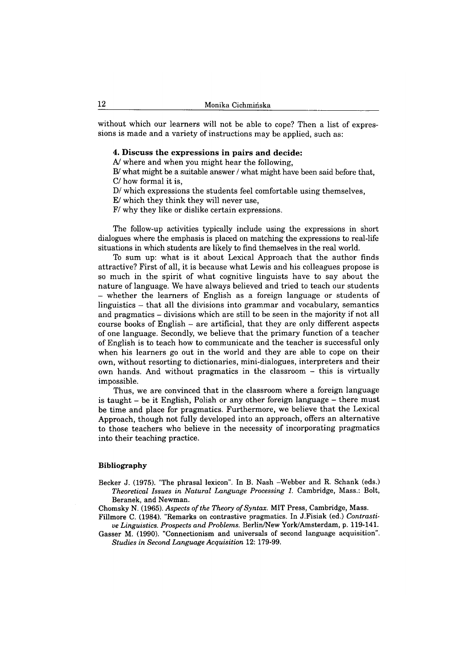without which our learners will not be able to cope? Then a list of expressions is made and a variety of instructions may be applied, such as:

#### **4. Discuss the expressions in pairs and decide:**

A/ where and when you might hear the following,

B/ what might be a suitable answer / what might have been said before that, C/ how formal it is,

D/ which expressions the students feel comfortable using themselves,

E/ which they think they will never use,

F/ why they like or dislike certain expressions.

The follow-up activities typically include using the expressions in short dialogues where the emphasis is placed on matching the expressions to real-life situations in which students are likely to find themselves in the real world.

To sum up: what is it about Lexical Approach that the author finds attractive? First of all, it is because what Lewis and his colleagues propose is so much in the spirit of what cognitive linguists have to say about the nature of language. We have always believed and tried to teach our students - whether the learners of English as a foreign language or students of linguistics  $-$  that all the divisions into grammar and vocabulary, semantics and pragmatics - divisions which are still to be seen in the majority if not all course books of English - are artificial, that they are only different aspects of one language. Secondly, we believe that the primary function of a teacher of English is to teach how to communicate and the teacher is successful only when his learners go out in the world and they are able to cope on their own, without resorting to dictionaries, mini-dialogues, interpreters and their own hands. And without pragmatics in the classroom - this is virtually impossible.

Thus, we are convinced that in the classroom where a foreign language is taught - be it English, Polish or any other foreign language - there must be time and place for pragmatics. Furthermore, we believe that the Lexical Approach, though not fully developed into an approach, offers an alternative to those teachers who believe in the necessity of incorporating pragmatics into their teaching practice.

#### **Bibliography**

**Becker J. (1975). "The phrasal lexicon". In B. Nash -Webber and R. Schank (eds.)** *Theoretical Issues in Natural Language Processing 1.* **Cambridge, Mass.: Bolt, Beranek, and Newman.**

**Chomsky N. (1965).** *Aspects of the Theory of Syntax.* **MIT Press, Cambridge, Mass.**

**Fillmore C. (1984). "Remarks on contrastive pragmatics. In J.Fisiak (ed.)** *Contrastive Linguistics. Prospects and Problems.* **Berlin/New York/Amsterdam, p. 119-141.**

**Gasser M. (1990). "Connectionism and universals of second language acquisition".** *Studies in Second Language Acquisition* **12: 179-99.**